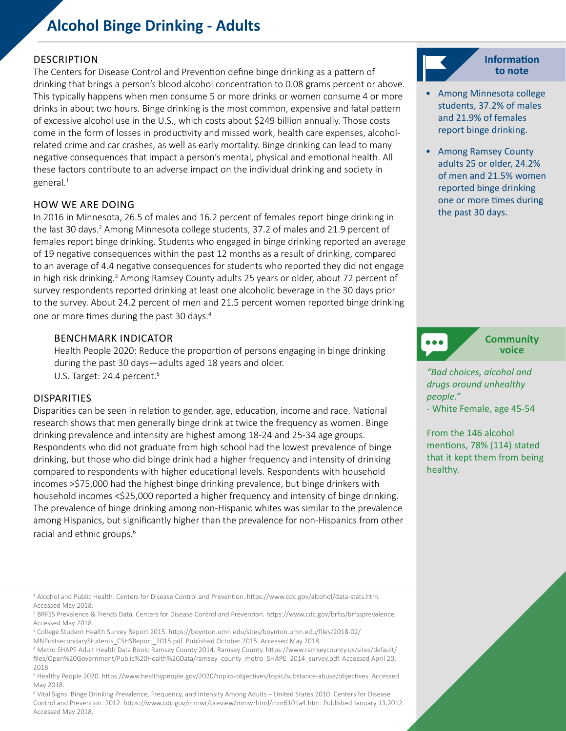# **Alcohol Binge Drinking - Adults**

# **DESCRIPTION**

The Centers for Disease Control and Prevention define binge drinking as a pattern of drinking that brings a person's blood alcohol concentration to 0.08 grams percent or above. This typically happens when men consume 5 or more drinks or women consume 4 or more drinks in about two hours. Binge drinking is the most common, expensive and fatal pattern of excessive alcohol use in the U.S., which costs about \$249 billion annually. Those costs come in the form of losses in productivity and missed work, health care expenses, alcoholrelated crime and car crashes, as well as early mortality. Binge drinking can lead to many negative consequences that impact a person's mental, physical and emotional health. All these factors contribute to an adverse impact on the individual drinking and society in general.<sup>1</sup>

## HOW WE ARE DOING

In 2016 in Minnesota, 26.5 of males and 16.2 percent of females report binge drinking in the last 30 days.<sup>2</sup> Among Minnesota college students, 37.2 of males and 21.9 percent of females report binge drinking. Students who engaged in binge drinking reported an average of 19 negative consequences within the past 12 months as a result of drinking, compared to an average of 4.4 negative consequences for students who reported they did not engage in high risk drinking.<sup>3</sup> Among Ramsey County adults 25 years or older, about 72 percent of survey respondents reported drinking at least one alcoholic beverage in the 30 days prior to the survey. About 24.2 percent of men and 21.5 percent women reported binge drinking one or more times during the past 30 days.4

## BENCHMARK INDICATOR

Health People 2020: Reduce the proportion of persons engaging in binge drinking during the past 30 days—adults aged 18 years and older. U.S. Target: 24.4 percent.<sup>5</sup>

## DISPARITIES

Disparities can be seen in relation to gender, age, education, income and race. National research shows that men generally binge drink at twice the frequency as women. Binge drinking prevalence and intensity are highest among 18-24 and 25-34 age groups. Respondents who did not graduate from high school had the lowest prevalence of binge drinking, but those who did binge drink had a higher frequency and intensity of drinking compared to respondents with higher educational levels. Respondents with household incomes >\$75,000 had the highest binge drinking prevalence, but binge drinkers with household incomes <\$25,000 reported a higher frequency and intensity of binge drinking. The prevalence of binge drinking among non-Hispanic whites was similar to the prevalence among Hispanics, but significantly higher than the prevalence for non-Hispanics from other racial and ethnic groups.<sup>6</sup>

3 College Student Health Survey Report 2015. https://boynton.umn.edu/sites/boynton.umn.edu/files/2018-02/ MNPostsecondaryStudents\_CSHSReport\_2015.pdf. Published October 2015. Accessed May 2018.

6 Vital Signs: Binge Drinking Prevalence, Frequency, and Intensity Among Adults – United States 2010. Centers for Disease Control and Prevention. 2012. https://www.cdc.gov/mmwr/preview/mmwrhtml/mm6101a4.htm. Published January 13,2012. Accessed May 2018.



- Among Minnesota college students, 37.2% of males and 21.9% of females report binge drinking.
- Among Ramsey County adults 25 or older, 24.2% of men and 21.5% women reported binge drinking one or more times during the past 30 days.



**Community voice**

*"Bad choices, alcohol and drugs around unhealthy people."* 

- White Female, age 45-54

From the 146 alcohol mentions, 78% (114) stated that it kept them from being healthy.

<sup>1</sup> Alcohol and Public Health. Centers for Disease Control and Prevention. https://www.cdc.gov/alcohol/data-stats.htm. Accessed May 2018.

<sup>2</sup> BRFSS Prevalence & Trends Data. Centers for Disease Control and Prevention. https://www.cdc.gov/brfss/brfssprevalence. Accessed May 2018.

<sup>4</sup> Metro SHAPE Adult Health Data Book: Ramsey County 2014. Ramsey County. https://www.ramseycounty.us/sites/default/ files/Open%20Government/Public%20Health%20Data/ramsey\_county\_metro\_SHAPE\_2014\_survey.pdf. Accessed April 20, 2018.

<sup>5</sup> Healthy People 2020. https://www.healthypeople.gov/2020/topics-objectives/topic/substance-abuse/objectives. Accessed May 2018.